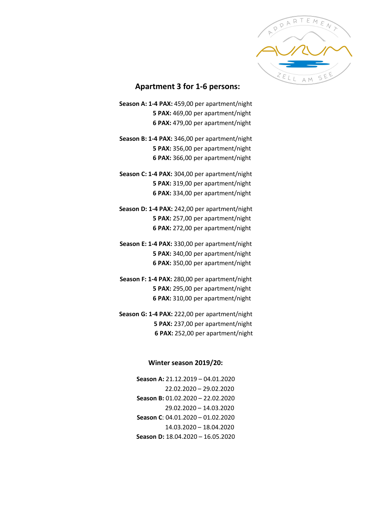

## **Apartment 3 for 1-6 persons:**

- **Season A: 1-4 PAX:** 459,00 per apartment/night **5 PAX:** 469,00 per apartment/night **6 PAX:** 479,00 per apartment/night
- **Season B: 1-4 PAX:** 346,00 per apartment/night **5 PAX:** 356,00 per apartment/night **6 PAX:** 366,00 per apartment/night
- **Season C: 1-4 PAX:** 304,00 per apartment/night **5 PAX:** 319,00 per apartment/night **6 PAX:** 334,00 per apartment/night
- **Season D: 1-4 PAX:** 242,00 per apartment/night **5 PAX:** 257,00 per apartment/night **6 PAX:** 272,00 per apartment/night
- **Season E: 1-4 PAX:** 330,00 per apartment/night **5 PAX:** 340,00 per apartment/night **6 PAX:** 350,00 per apartment/night
- **Season F: 1-4 PAX:** 280,00 per apartment/night **5 PAX:** 295,00 per apartment/night **6 PAX:** 310,00 per apartment/night
- **Season G: 1-4 PAX:** 222,00 per apartment/night **5 PAX:** 237,00 per apartment/night **6 PAX:** 252,00 per apartment/night

## **Winter season 2019/20:**

**Season A:** 21.12.2019 – 04.01.2020 22.02.2020 – 29.02.2020 **Season B:** 01.02.2020 – 22.02.2020 29.02.2020 – 14.03.2020 **Season C**: 04.01.2020 – 01.02.2020 14.03.2020 – 18.04.2020 **Season D:** 18.04.2020 – 16.05.2020